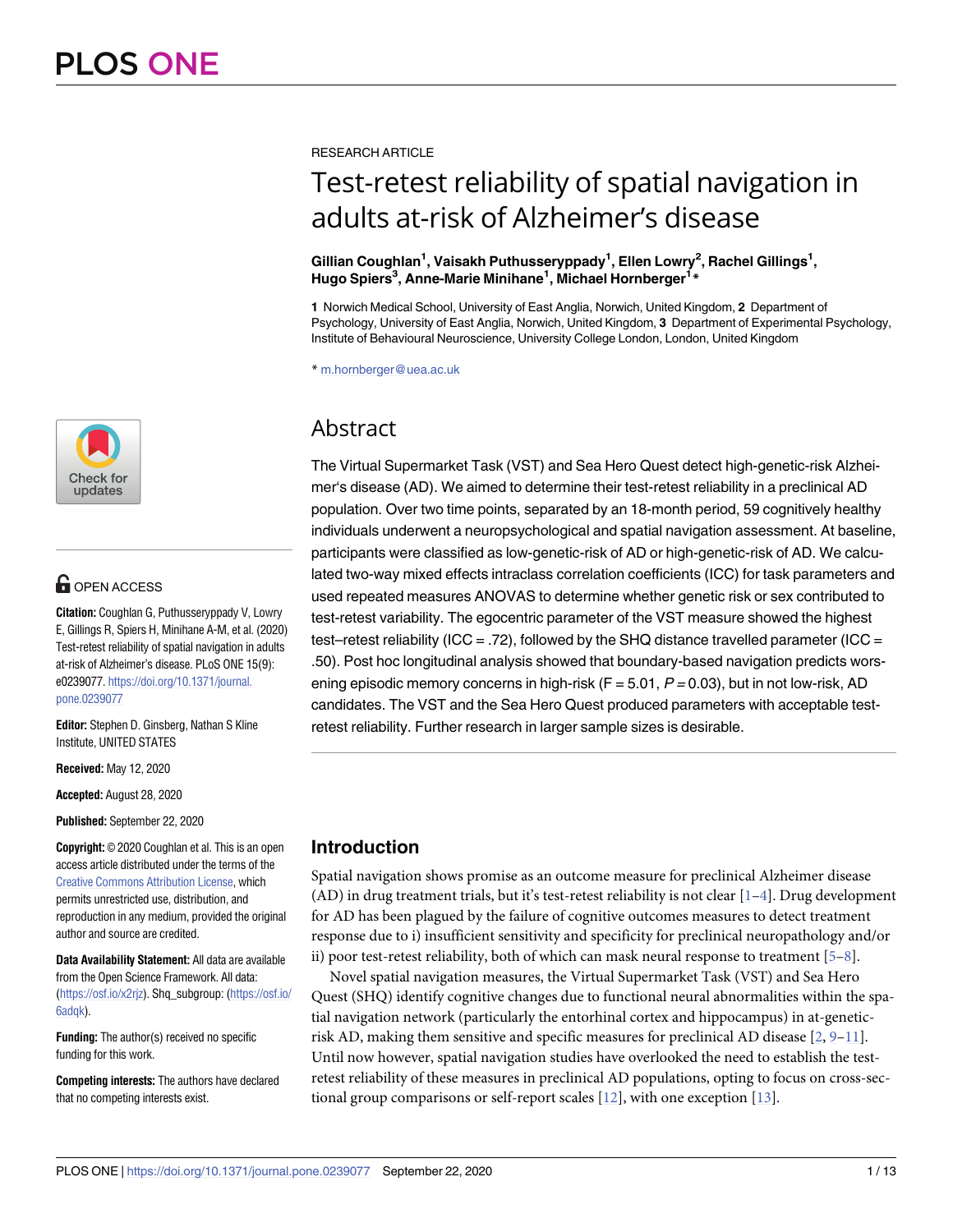

## **OPEN ACCESS**

**Citation:** Coughlan G, Puthusseryppady V, Lowry E, Gillings R, Spiers H, Minihane A-M, et al. (2020) Test-retest reliability of spatial navigation in adults at-risk of Alzheimer's disease. PLoS ONE 15(9): e0239077. [https://doi.org/10.1371/journal.](https://doi.org/10.1371/journal.pone.0239077) [pone.0239077](https://doi.org/10.1371/journal.pone.0239077)

**Editor:** Stephen D. Ginsberg, Nathan S Kline Institute, UNITED STATES

**Received:** May 12, 2020

**Accepted:** August 28, 2020

**Published:** September 22, 2020

**Copyright:** © 2020 Coughlan et al. This is an open access article distributed under the terms of the Creative Commons [Attribution](http://creativecommons.org/licenses/by/4.0/) License, which permits unrestricted use, distribution, and reproduction in any medium, provided the original author and source are credited.

**Data Availability Statement:** All data are available from the Open Science Framework. All data: [\(https://osf.io/x2rjz\)](https://osf.io/x2rjz). Shq\_subgroup: [\(https://osf.io/](https://osf.io/6adqk) [6adqk](https://osf.io/6adqk)).

**Funding:** The author(s) received no specific funding for this work.

**Competing interests:** The authors have declared that no competing interests exist.

<span id="page-0-0"></span>RESEARCH ARTICLE

# Test-retest reliability of spatial navigation in adults at-risk of Alzheimer's disease

#### $\delta$ Gillian Coughlan<sup>1</sup>, Vaisakh Puthusseryppady<sup>1</sup>, Ellen Lowry<sup>2</sup>, Rachel Gillings<sup>1</sup>, **Hugo Spiers3 , Anne-Marie Minihane1 , Michael Hornberger1 \***

**1** Norwich Medical School, University of East Anglia, Norwich, United Kingdom, **2** Department of Psychology, University of East Anglia, Norwich, United Kingdom, **3** Department of Experimental Psychology, Institute of Behavioural Neuroscience, University College London, London, United Kingdom

\* m.hornberger@uea.ac.uk

## Abstract

The Virtual Supermarket Task (VST) and Sea Hero Quest detect high-genetic-risk Alzheimer's disease (AD). We aimed to determine their test-retest reliability in a preclinical AD population. Over two time points, separated by an 18-month period, 59 cognitively healthy individuals underwent a neuropsychological and spatial navigation assessment. At baseline, participants were classified as low-genetic-risk of AD or high-genetic-risk of AD. We calculated two-way mixed effects intraclass correlation coefficients (ICC) for task parameters and used repeated measures ANOVAS to determine whether genetic risk or sex contributed to test-retest variability. The egocentric parameter of the VST measure showed the highest test–retest reliability (ICC = .72), followed by the SHQ distance travelled parameter (ICC = .50). Post hoc longitudinal analysis showed that boundary-based navigation predicts worsening episodic memory concerns in high-risk ( $F = 5.01$ ,  $P = 0.03$ ), but in not low-risk, AD candidates. The VST and the Sea Hero Quest produced parameters with acceptable testretest reliability. Further research in larger sample sizes is desirable.

## **Introduction**

Spatial navigation shows promise as an outcome measure for preclinical Alzheimer disease (AD) in drug treatment trials, but it's test-retest reliability is not clear  $[1-4]$ . Drug development for AD has been plagued by the failure of cognitive outcomes measures to detect treatment response due to i) insufficient sensitivity and specificity for preclinical neuropathology and/or ii) poor test-retest reliability, both of which can mask neural response to treatment  $[5-8]$  $[5-8]$  $[5-8]$  $[5-8]$  $[5-8]$ .

Novel spatial navigation measures, the Virtual Supermarket Task (VST) and Sea Hero Quest (SHQ) identify cognitive changes due to functional neural abnormalities within the spatial navigation network (particularly the entorhinal cortex and hippocampus) in at-geneticrisk AD, making them sensitive and specific measures for preclinical AD disease  $[2, 9-11]$  $[2, 9-11]$  $[2, 9-11]$  $[2, 9-11]$  $[2, 9-11]$ . Until now however, spatial navigation studies have overlooked the need to establish the testretest reliability of these measures in preclinical AD populations, opting to focus on cross-sectional group comparisons or self-report scales [\[12\]](#page-11-0), with one exception [\[13\]](#page-11-0).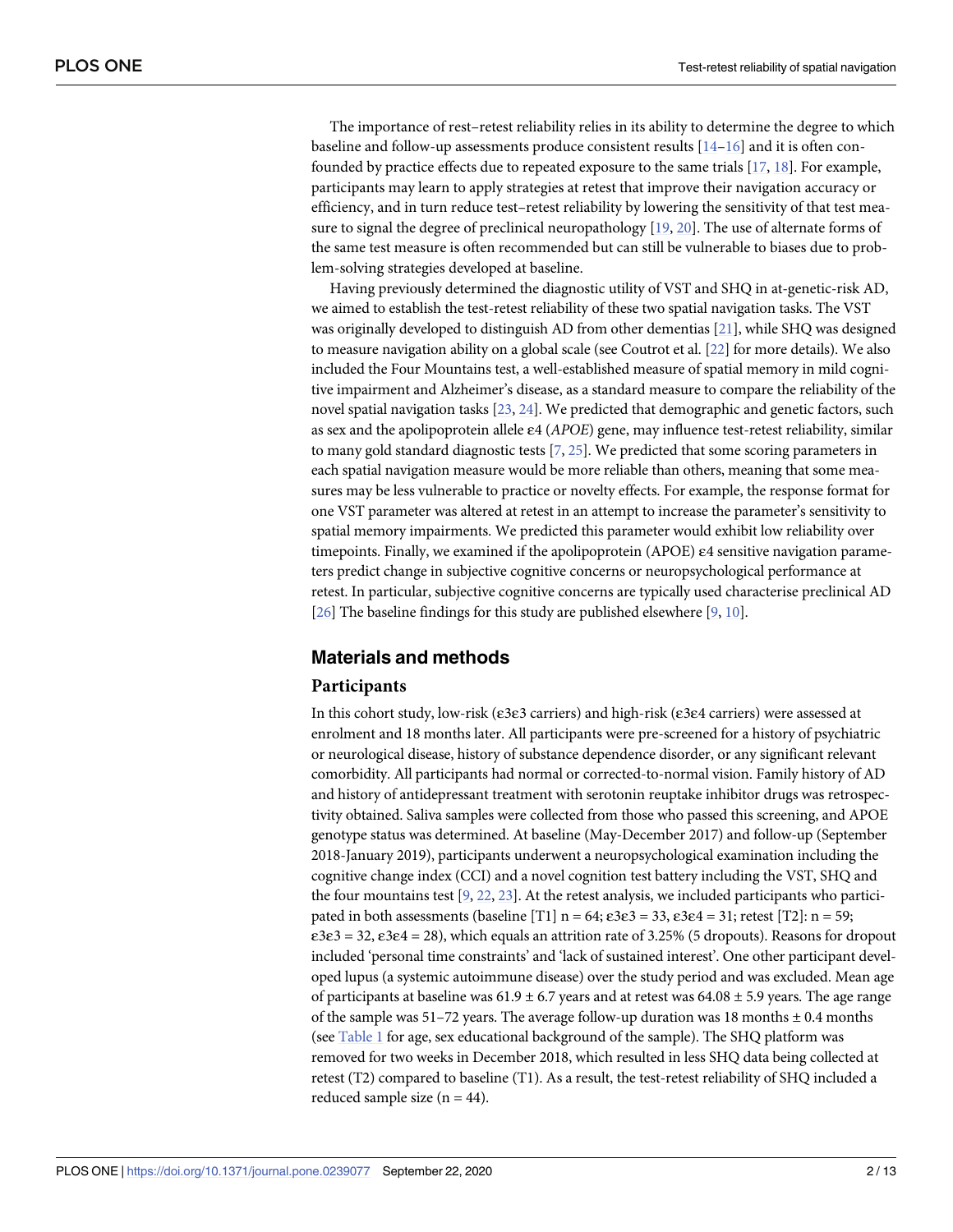<span id="page-1-0"></span>The importance of rest–retest reliability relies in its ability to determine the degree to which baseline and follow-up assessments produce consistent results  $[14-16]$  and it is often confounded by practice effects due to repeated exposure to the same trials [\[17,](#page-11-0) [18\]](#page-11-0). For example, participants may learn to apply strategies at retest that improve their navigation accuracy or efficiency, and in turn reduce test–retest reliability by lowering the sensitivity of that test measure to signal the degree of preclinical neuropathology [[19](#page-11-0), [20](#page-11-0)]. The use of alternate forms of the same test measure is often recommended but can still be vulnerable to biases due to problem-solving strategies developed at baseline.

Having previously determined the diagnostic utility of VST and SHQ in at-genetic-risk AD, we aimed to establish the test-retest reliability of these two spatial navigation tasks. The VST was originally developed to distinguish AD from other dementias [[21](#page-11-0)], while SHQ was designed to measure navigation ability on a global scale (see Coutrot et al. [\[22\]](#page-11-0) for more details). We also included the Four Mountains test, a well-established measure of spatial memory in mild cognitive impairment and Alzheimer's disease, as a standard measure to compare the reliability of the novel spatial navigation tasks [[23,](#page-11-0) [24\]](#page-11-0). We predicted that demographic and genetic factors, such as sex and the apolipoprotein allele ε4 (*APOE*) gene, may influence test-retest reliability, similar to many gold standard diagnostic tests [\[7,](#page-10-0) [25\]](#page-11-0). We predicted that some scoring parameters in each spatial navigation measure would be more reliable than others, meaning that some measures may be less vulnerable to practice or novelty effects. For example, the response format for one VST parameter was altered at retest in an attempt to increase the parameter's sensitivity to spatial memory impairments. We predicted this parameter would exhibit low reliability over timepoints. Finally, we examined if the apolipoprotein (APOE) ε4 sensitive navigation parameters predict change in subjective cognitive concerns or neuropsychological performance at retest. In particular, subjective cognitive concerns are typically used characterise preclinical AD [\[26\]](#page-11-0) The baseline findings for this study are published elsewhere [[9,](#page-10-0) [10](#page-10-0)].

## **Materials and methods**

## **Participants**

In this cohort study, low-risk (ε3ε3 carriers) and high-risk (ε3ε4 carriers) were assessed at enrolment and 18 months later. All participants were pre-screened for a history of psychiatric or neurological disease, history of substance dependence disorder, or any significant relevant comorbidity. All participants had normal or corrected-to-normal vision. Family history of AD and history of antidepressant treatment with serotonin reuptake inhibitor drugs was retrospectivity obtained. Saliva samples were collected from those who passed this screening, and APOE genotype status was determined. At baseline (May-December 2017) and follow-up (September 2018-January 2019), participants underwent a neuropsychological examination including the cognitive change index (CCI) and a novel cognition test battery including the VST, SHQ and the four mountains test  $[9, 22, 23]$  $[9, 22, 23]$  $[9, 22, 23]$  $[9, 22, 23]$  $[9, 22, 23]$ . At the retest analysis, we included participants who participated in both assessments (baseline [T1]  $n = 64$ ;  $\varepsilon 3\varepsilon 3 = 33$ ,  $\varepsilon 3\varepsilon 4 = 31$ ; retest [T2]:  $n = 59$ ;  $\epsilon$ 3ε3 = 32, ε3ε4 = 28), which equals an attrition rate of 3.25% (5 dropouts). Reasons for dropout included 'personal time constraints' and 'lack of sustained interest'. One other participant developed lupus (a systemic autoimmune disease) over the study period and was excluded. Mean age of participants at baseline was  $61.9 \pm 6.7$  years and at retest was  $64.08 \pm 5.9$  years. The age range of the sample was  $51-72$  years. The average follow-up duration was 18 months  $\pm$  0.4 months (see [Table](#page-2-0) 1 for age, sex educational background of the sample). The SHQ platform was removed for two weeks in December 2018, which resulted in less SHQ data being collected at retest (T2) compared to baseline (T1). As a result, the test-retest reliability of SHQ included a reduced sample size  $(n = 44)$ .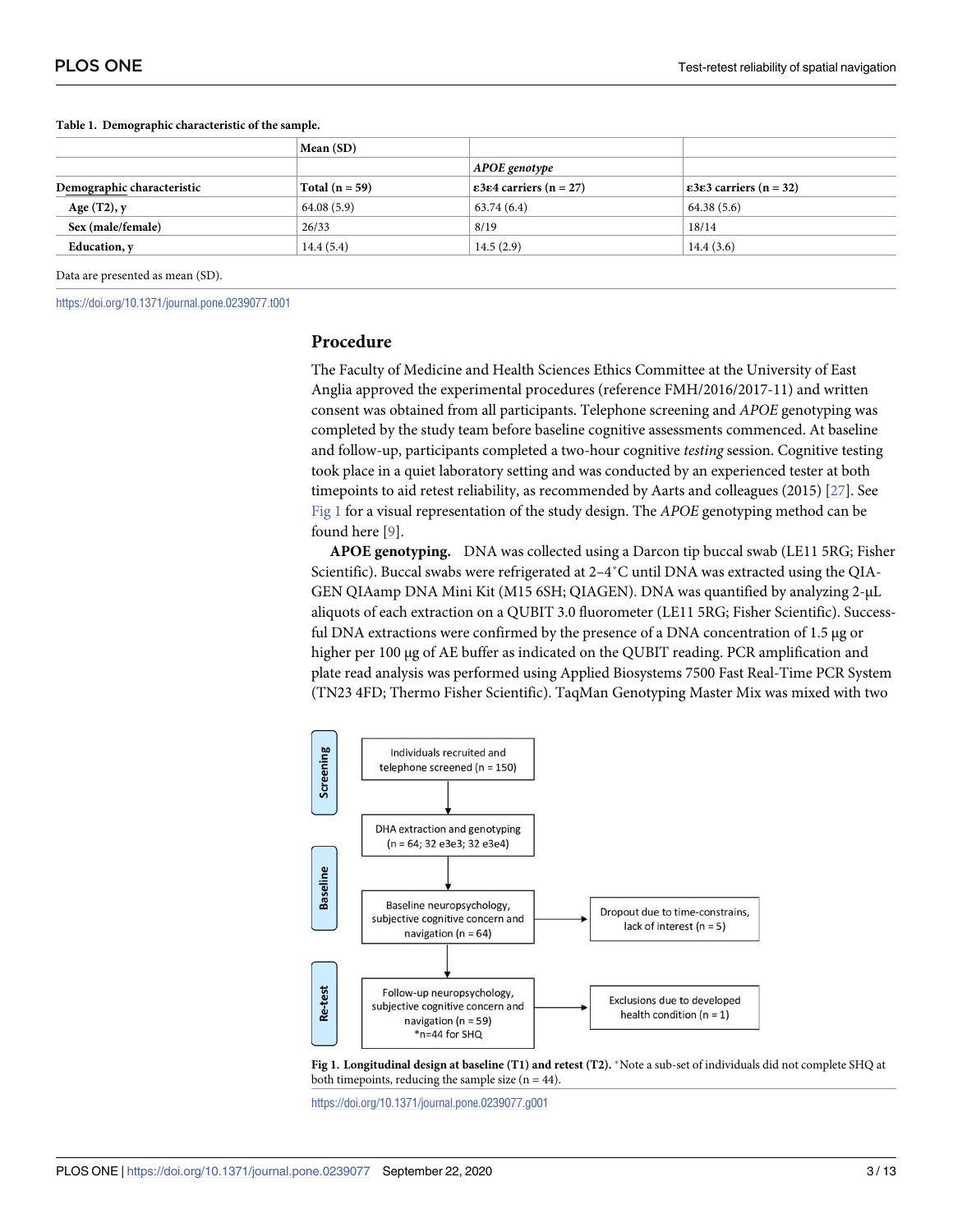|                            | Mean (SD)        |                                             |                                             |  |
|----------------------------|------------------|---------------------------------------------|---------------------------------------------|--|
|                            |                  | APOE genotype                               |                                             |  |
| Demographic characteristic | Total $(n = 59)$ | $\epsilon$ 3 $\epsilon$ 4 carriers (n = 27) | $\epsilon$ 3 $\epsilon$ 3 carriers (n = 32) |  |
| Age $(T2)$ , y             | 64.08(5.9)       | 63.74(6.4)                                  | 64.38(5.6)                                  |  |
| Sex (male/female)          | 26/33            | 8/19                                        | 18/14                                       |  |
| Education, y               | 14.4(5.4)        | 14.5(2.9)                                   | 14.4(3.6)                                   |  |

<span id="page-2-0"></span>**[Table](#page-1-0) 1. Demographic characteristic of the sample.**

Data are presented as mean (SD).

<https://doi.org/10.1371/journal.pone.0239077.t001>

### **Procedure**

The Faculty of Medicine and Health Sciences Ethics Committee at the University of East Anglia approved the experimental procedures (reference FMH/2016/2017-11) and written consent was obtained from all participants. Telephone screening and *APOE* genotyping was completed by the study team before baseline cognitive assessments commenced. At baseline and follow-up, participants completed a two-hour cognitive *testing* session. Cognitive testing took place in a quiet laboratory setting and was conducted by an experienced tester at both timepoints to aid retest reliability, as recommended by Aarts and colleagues (2015) [[27](#page-11-0)]. See Fig 1 for a visual representation of the study design. The *APOE* genotyping method can be found here [\[9](#page-10-0)].

**APOE genotyping.** DNA was collected using a Darcon tip buccal swab (LE11 5RG; Fisher Scientific). Buccal swabs were refrigerated at 2–4˚C until DNA was extracted using the QIA-GEN QIAamp DNA Mini Kit (M15 6SH; QIAGEN). DNA was quantified by analyzing 2-μL aliquots of each extraction on a QUBIT 3.0 fluorometer (LE11 5RG; Fisher Scientific). Successful DNA extractions were confirmed by the presence of a DNA concentration of 1.5 μg or higher per 100 μg of AE buffer as indicated on the QUBIT reading. PCR amplification and plate read analysis was performed using Applied Biosystems 7500 Fast Real-Time PCR System (TN23 4FD; Thermo Fisher Scientific). TaqMan Genotyping Master Mix was mixed with two



**Fig 1. Longitudinal design at baseline (T1) and retest (T2).** �Note a sub-set of individuals did not complete SHQ at both timepoints, reducing the sample size  $(n = 44)$ .

<https://doi.org/10.1371/journal.pone.0239077.g001>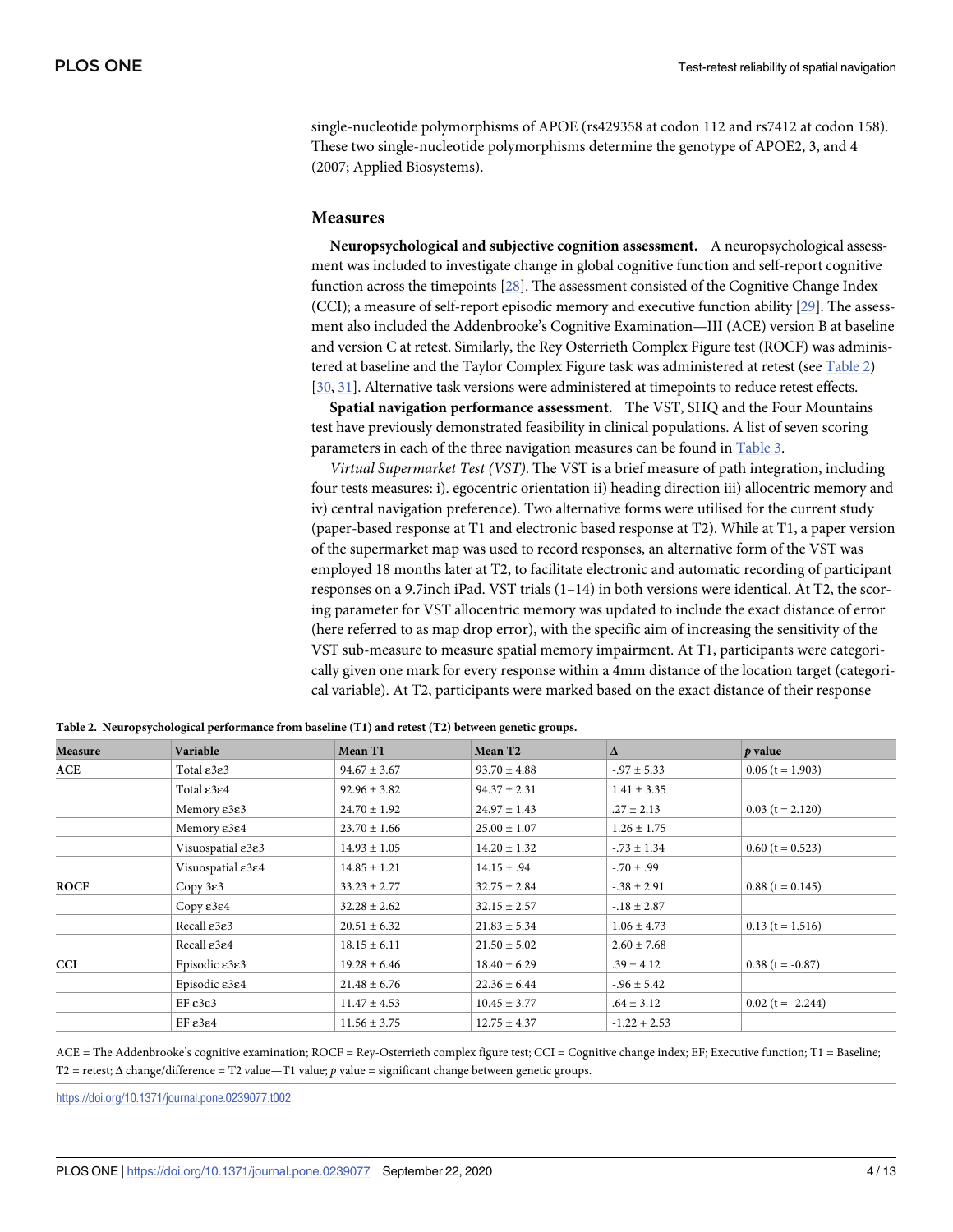<span id="page-3-0"></span>single-nucleotide polymorphisms of APOE (rs429358 at codon 112 and rs7412 at codon 158). These two single-nucleotide polymorphisms determine the genotype of APOE2, 3, and 4 (2007; Applied Biosystems).

#### **Measures**

**Neuropsychological and subjective cognition assessment.** A neuropsychological assessment was included to investigate change in global cognitive function and self-report cognitive function across the timepoints [[28](#page-11-0)]. The assessment consisted of the Cognitive Change Index (CCI); a measure of self-report episodic memory and executive function ability [[29\]](#page-11-0). The assessment also included the Addenbrooke's Cognitive Examination—III (ACE) version B at baseline and version C at retest. Similarly, the Rey Osterrieth Complex Figure test (ROCF) was administered at baseline and the Taylor Complex Figure task was administered at retest (see Table 2) [\[30,](#page-11-0) [31\]](#page-12-0). Alternative task versions were administered at timepoints to reduce retest effects.

**Spatial navigation performance assessment.** The VST, SHQ and the Four Mountains test have previously demonstrated feasibility in clinical populations. A list of seven scoring parameters in each of the three navigation measures can be found in [Table](#page-4-0) 3.

*Virtual Supermarket Test (VST)*. The VST is a brief measure of path integration, including four tests measures: i). egocentric orientation ii) heading direction iii) allocentric memory and iv) central navigation preference). Two alternative forms were utilised for the current study (paper-based response at T1 and electronic based response at T2). While at T1, a paper version of the supermarket map was used to record responses, an alternative form of the VST was employed 18 months later at T2, to facilitate electronic and automatic recording of participant responses on a 9.7inch iPad. VST trials (1–14) in both versions were identical. At T2, the scoring parameter for VST allocentric memory was updated to include the exact distance of error (here referred to as map drop error), with the specific aim of increasing the sensitivity of the VST sub-measure to measure spatial memory impairment. At T1, participants were categorically given one mark for every response within a 4mm distance of the location target (categorical variable). At T2, participants were marked based on the exact distance of their response

| <b>Measure</b> | Variable                                     | Mean T1          | Mean T <sub>2</sub> | Δ                | p value             |
|----------------|----------------------------------------------|------------------|---------------------|------------------|---------------------|
| ACE            | Total $\varepsilon$ 3 $\varepsilon$ 3        | $94.67 \pm 3.67$ | $93.70 \pm 4.88$    | $-0.97 \pm 5.33$ | $0.06$ (t = 1.903)  |
|                | Total $\varepsilon$ 3 $\varepsilon$ 4        | $92.96 \pm 3.82$ | $94.37 \pm 2.31$    | $1.41 \pm 3.35$  |                     |
|                | Memory $\epsilon$ 3 $\epsilon$ 3             | $24.70 \pm 1.92$ | $24.97 \pm 1.43$    | $.27 \pm 2.13$   | $0.03$ (t = 2.120)  |
|                | Memory $\varepsilon$ 3 $\varepsilon$ 4       | $23.70 \pm 1.66$ | $25.00 \pm 1.07$    | $1.26 \pm 1.75$  |                     |
|                | Visuospatial $\epsilon$ 3 $\epsilon$ 3       | $14.93 \pm 1.05$ | $14.20 \pm 1.32$    | $-73 \pm 1.34$   | $0.60$ (t = 0.523)  |
|                | Visuospatial $\varepsilon$ 3 $\varepsilon$ 4 | $14.85 \pm 1.21$ | $14.15 \pm .94$     | $-70 \pm .99$    |                     |
| <b>ROCF</b>    | Copy $3\varepsilon$ 3                        | $33.23 \pm 2.77$ | $32.75 \pm 2.84$    | $-.38 \pm 2.91$  | $0.88$ (t = 0.145)  |
|                | $Copy \epsilon 3 \epsilon 4$                 | $32.28 \pm 2.62$ | $32.15 \pm 2.57$    | $-18 \pm 2.87$   |                     |
|                | Recall $\epsilon$ 3 $\epsilon$ 3             | $20.51 \pm 6.32$ | $21.83 \pm 5.34$    | $1.06 \pm 4.73$  | $0.13$ (t = 1.516)  |
|                | Recall $\epsilon$ 3 $\epsilon$ 4             | $18.15 \pm 6.11$ | $21.50 \pm 5.02$    | $2.60 \pm 7.68$  |                     |
| <b>CCI</b>     | Episodic $\epsilon$ 3 $\epsilon$ 3           | $19.28 \pm 6.46$ | $18.40 \pm 6.29$    | $.39 \pm 4.12$   | $0.38$ (t = -0.87)  |
|                | Episodic $\epsilon$ 3 $\epsilon$ 4           | $21.48 \pm 6.76$ | $22.36 \pm 6.44$    | $-.96 \pm 5.42$  |                     |
|                | $EF \epsilon 3\epsilon 3$                    | $11.47 \pm 4.53$ | $10.45 \pm 3.77$    | $.64 \pm 3.12$   | $0.02$ (t = -2.244) |
|                | $EF \epsilon 3\epsilon 4$                    | $11.56 \pm 3.75$ | $12.75 \pm 4.37$    | $-1.22 + 2.53$   |                     |

**Table 2. Neuropsychological performance from baseline (T1) and retest (T2) between genetic groups.**

 $ACE = The Addenbrooke's cognitive examination; ROCF = Rev-Osterreth complex figure test; CCI = Cognitive change index; EF; Executive function; T1 = Baseline;$ T2 = retest; Δ change/difference = T2 value—T1 value; *p* value = significant change between genetic groups.

<https://doi.org/10.1371/journal.pone.0239077.t002>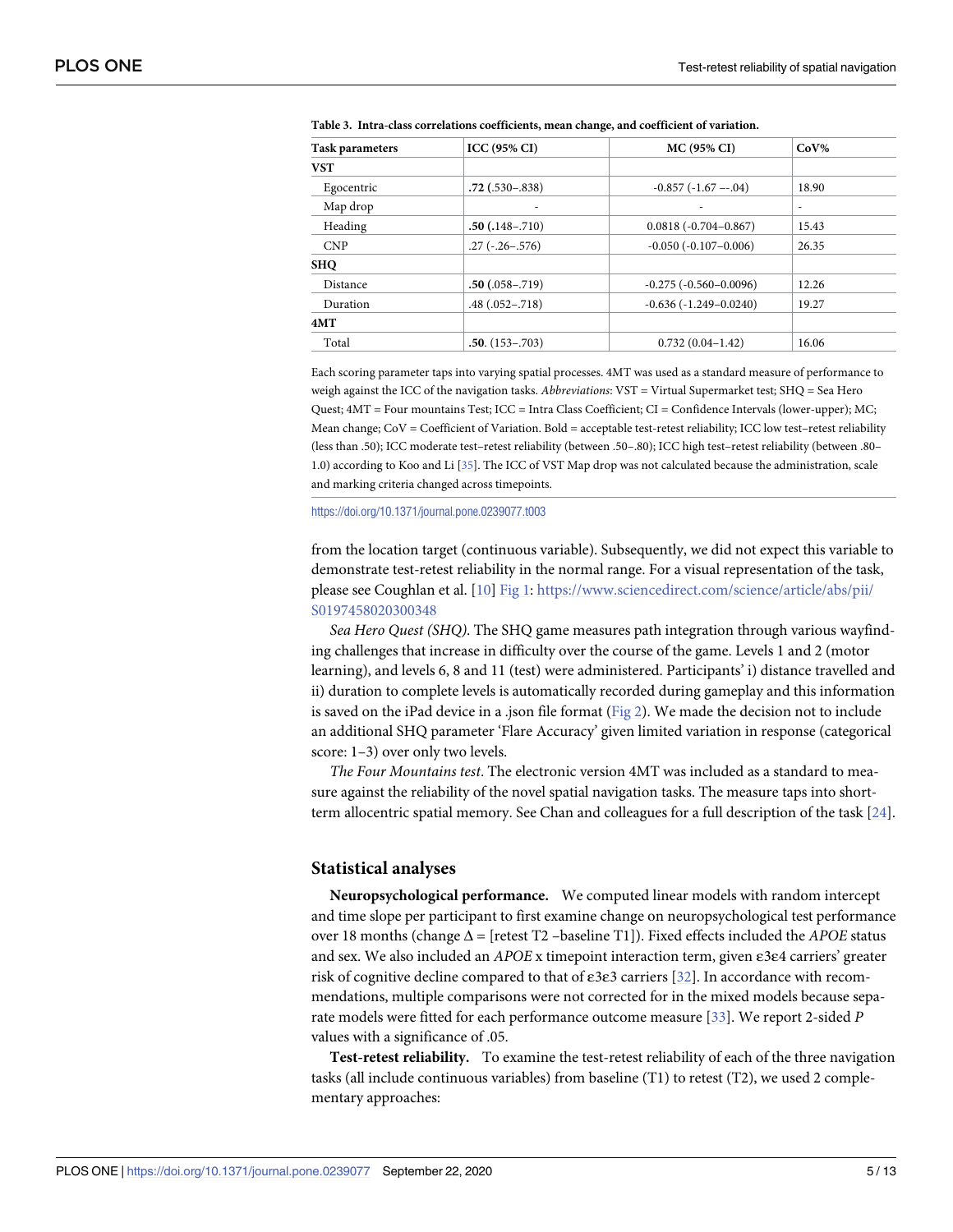| <b>Task parameters</b> | ICC(95% CI)         | <b>MC (95% CI)</b>           | $CoV\%$                  |
|------------------------|---------------------|------------------------------|--------------------------|
| <b>VST</b>             |                     |                              |                          |
| Egocentric             | $.72$ (.530 - .838) | $-0.857(-1.67 - 0.04)$       | 18.90                    |
| Map drop               | ۰                   |                              | $\overline{\phantom{a}}$ |
| Heading                | $.50(.148-.710)$    | $0.0818(-0.704 - 0.867)$     | 15.43                    |
| <b>CNP</b>             | $.27(-.26-.576)$    | $-0.050$ $(-0.107 - 0.006)$  | 26.35                    |
| <b>SHO</b>             |                     |                              |                          |
| Distance               | $.50(.058-.719)$    | $-0.275$ $(-0.560 - 0.0096)$ | 12.26                    |
| Duration               | $.48(.052-.718)$    | $-0.636(-1.249 - 0.0240)$    | 19.27                    |
| 4MT                    |                     |                              |                          |
| Total                  | $.50. (153 - .703)$ | $0.732(0.04-1.42)$           | 16.06                    |

<span id="page-4-0"></span>**[Table](#page-3-0) 3. Intra-class correlations coefficients, mean change, and coefficient of variation.**

Each scoring parameter taps into varying spatial processes. 4MT was used as a standard measure of performance to weigh against the ICC of the navigation tasks. *Abbreviations*: VST = Virtual Supermarket test; SHQ = Sea Hero Quest; 4MT = Four mountains Test; ICC = Intra Class Coefficient; CI = Confidence Intervals (lower-upper); MC; Mean change; CoV = Coefficient of Variation. Bold = acceptable test-retest reliability; ICC low test–retest reliability (less than .50); ICC moderate test–retest reliability (between .50–.80); ICC high test–retest reliability (between .80– 1.0) according to Koo and Li [[35](#page-12-0)]. The ICC of VST Map drop was not calculated because the administration, scale and marking criteria changed across timepoints.

<https://doi.org/10.1371/journal.pone.0239077.t003>

from the location target (continuous variable). Subsequently, we did not expect this variable to demonstrate test-retest reliability in the normal range. For a visual representation of the task, please see Coughlan et al. [\[10](#page-10-0)] [Fig](#page-2-0) 1: [https://www.sciencedirect.com/science/article/abs/pii/](https://www.sciencedirect.com/science/article/abs/pii/S0197458020300348) [S0197458020300348](https://www.sciencedirect.com/science/article/abs/pii/S0197458020300348)

*Sea Hero Quest (SHQ)*. The SHQ game measures path integration through various wayfinding challenges that increase in difficulty over the course of the game. Levels 1 and 2 (motor learning), and levels 6, 8 and 11 (test) were administered. Participants' i) distance travelled and ii) duration to complete levels is automatically recorded during gameplay and this information is saved on the iPad device in a .json file format ([Fig](#page-5-0) 2). We made the decision not to include an additional SHQ parameter 'Flare Accuracy' given limited variation in response (categorical score: 1–3) over only two levels.

*The Four Mountains test*. The electronic version 4MT was included as a standard to measure against the reliability of the novel spatial navigation tasks. The measure taps into shortterm allocentric spatial memory. See Chan and colleagues for a full description of the task [\[24\]](#page-11-0).

#### **Statistical analyses**

**Neuropsychological performance.** We computed linear models with random intercept and time slope per participant to first examine change on neuropsychological test performance over 18 months (change Δ = [retest T2 –baseline T1]). Fixed effects included the *APOE* status and sex. We also included an *APOE* x timepoint interaction term, given ε3ε4 carriers' greater risk of cognitive decline compared to that of ε3ε3 carriers [[32](#page-12-0)]. In accordance with recommendations, multiple comparisons were not corrected for in the mixed models because separate models were fitted for each performance outcome measure [\[33\]](#page-12-0). We report 2-sided *P* values with a significance of .05.

**Test-retest reliability.** To examine the test-retest reliability of each of the three navigation tasks (all include continuous variables) from baseline (T1) to retest (T2), we used 2 complementary approaches: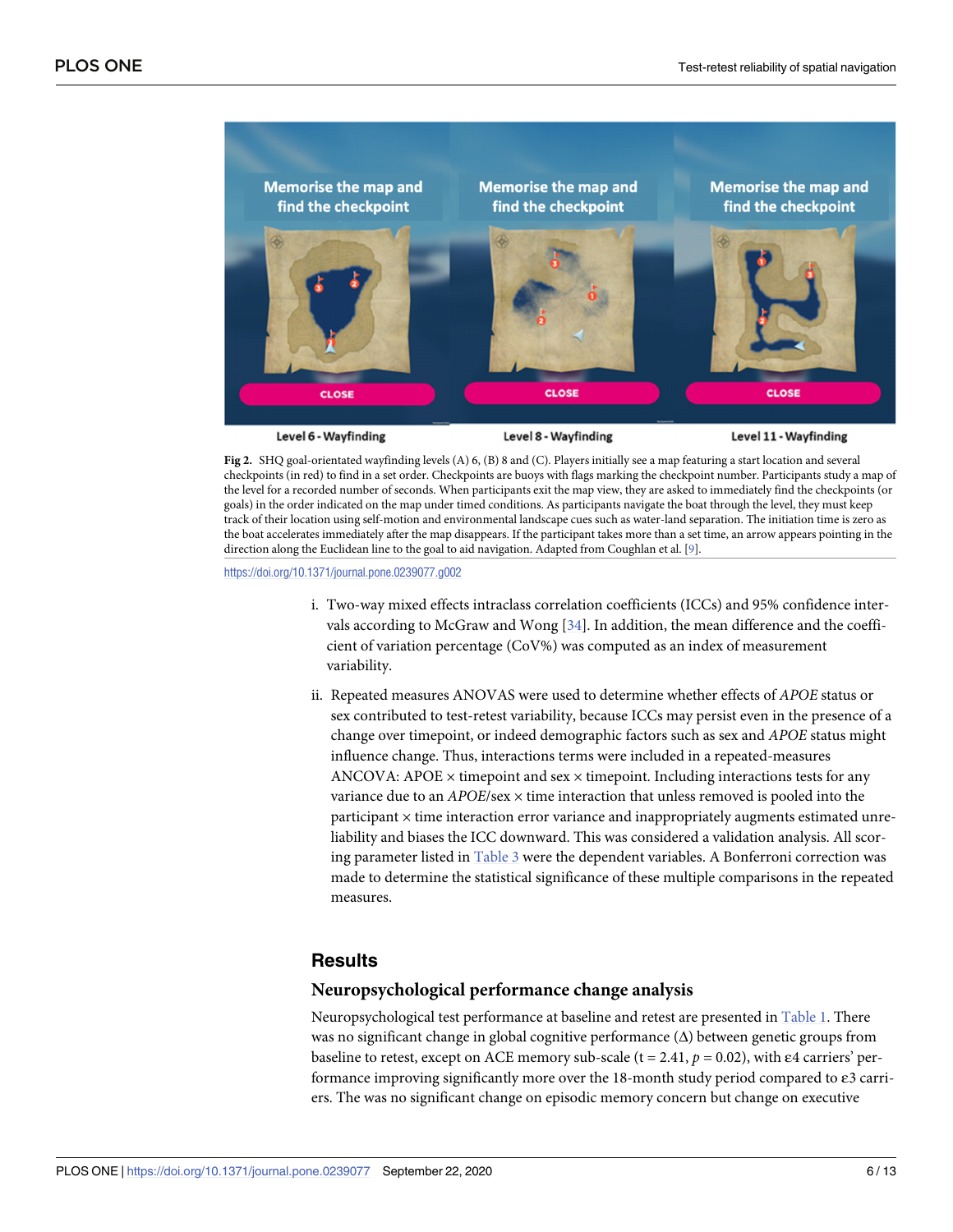<span id="page-5-0"></span>

**[Fig](#page-4-0) 2.** SHQ goal-orientated wayfinding levels (A) 6, (B) 8 and (C). Players initially see a map featuring a start location and several checkpoints (in red) to find in a set order. Checkpoints are buoys with flags marking the checkpoint number. Participants study a map of the level for a recorded number of seconds. When participants exit the map view, they are asked to immediately find the checkpoints (or goals) in the order indicated on the map under timed conditions. As participants navigate the boat through the level, they must keep track of their location using self-motion and environmental landscape cues such as water-land separation. The initiation time is zero as the boat accelerates immediately after the map disappears. If the participant takes more than a set time, an arrow appears pointing in the direction along the Euclidean line to the goal to aid navigation. Adapted from Coughlan et al. [\[9](#page-10-0)].

<https://doi.org/10.1371/journal.pone.0239077.g002>

- i. Two-way mixed effects intraclass correlation coefficients (ICCs) and 95% confidence intervals according to McGraw and Wong  $[34]$ . In addition, the mean difference and the coefficient of variation percentage (CoV%) was computed as an index of measurement variability.
- ii. Repeated measures ANOVAS were used to determine whether effects of *APOE* status or sex contributed to test-retest variability, because ICCs may persist even in the presence of a change over timepoint, or indeed demographic factors such as sex and *APOE* status might influence change. Thus, interactions terms were included in a repeated-measures ANCOVA: APOE  $\times$  timepoint and sex  $\times$  timepoint. Including interactions tests for any variance due to an *APOE*/sex × time interaction that unless removed is pooled into the  $participant \times time interaction$  error variance and inappropriately augments estimated unreliability and biases the ICC downward. This was considered a validation analysis. All scoring parameter listed in [Table](#page-4-0) 3 were the dependent variables. A Bonferroni correction was made to determine the statistical significance of these multiple comparisons in the repeated measures.

## **Results**

#### **Neuropsychological performance change analysis**

Neuropsychological test performance at baseline and retest are presented in [Table](#page-2-0) 1. There was no significant change in global cognitive performance  $(\Delta)$  between genetic groups from baseline to retest, except on ACE memory sub-scale (t = 2.41, *p =* 0.02), with ε4 carriers' performance improving significantly more over the 18-month study period compared to ε3 carriers. The was no significant change on episodic memory concern but change on executive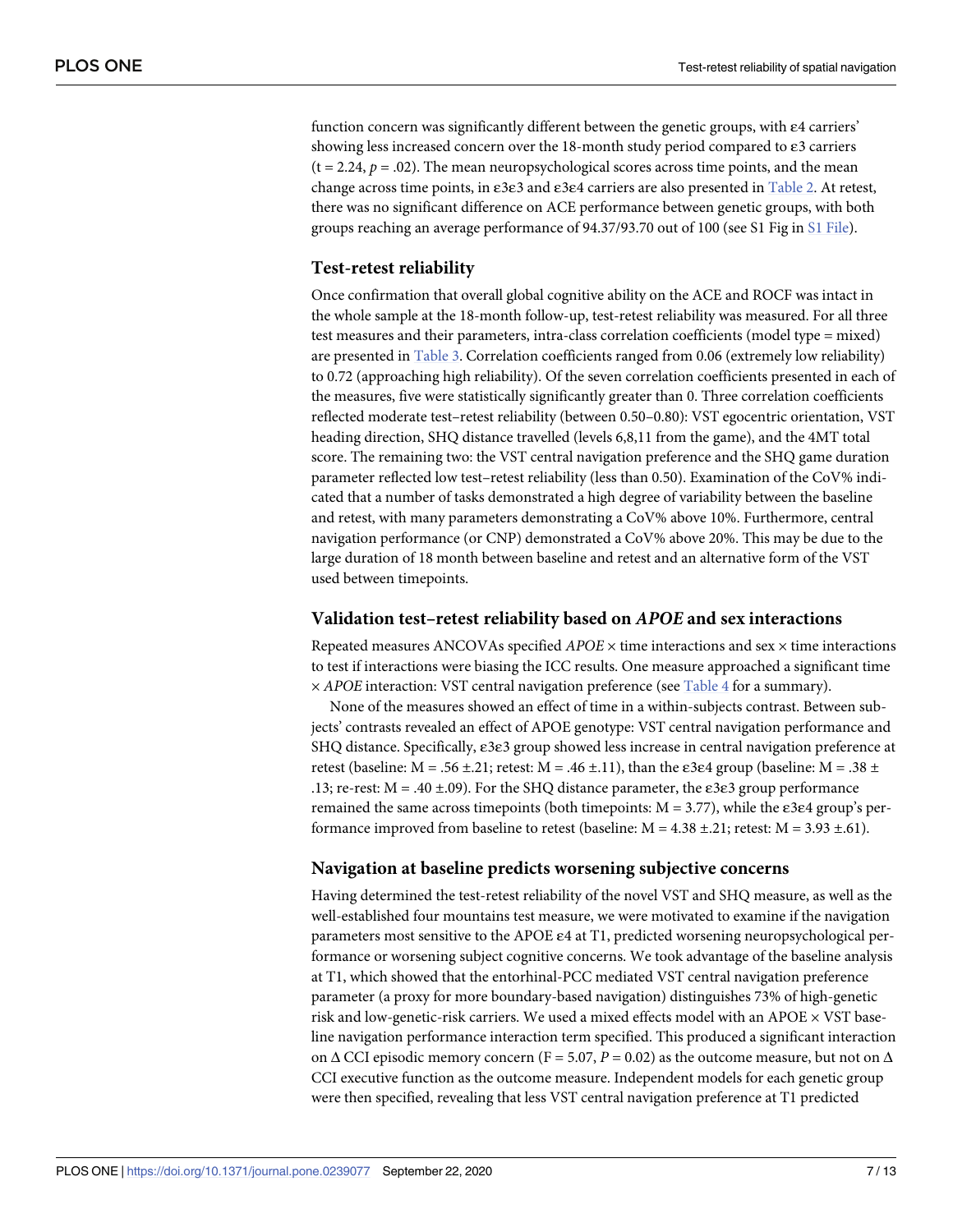<span id="page-6-0"></span>function concern was significantly different between the genetic groups, with ε4 carriers' showing less increased concern over the 18-month study period compared to  $\varepsilon$ 3 carriers  $(t = 2.24, p = .02)$ . The mean neuropsychological scores across time points, and the mean change across time points, in ε3ε3 and ε3ε4 carriers are also presented in [Table](#page-3-0) 2. At retest, there was no significant difference on ACE performance between genetic groups, with both groups reaching an average performance of 94.37/93.70 out of 100 (see S1 Fig in S1 [File](#page-9-0)).

#### **Test-retest reliability**

Once confirmation that overall global cognitive ability on the ACE and ROCF was intact in the whole sample at the 18-month follow-up, test-retest reliability was measured. For all three test measures and their parameters, intra-class correlation coefficients (model type = mixed) are presented in [Table](#page-4-0) 3. Correlation coefficients ranged from 0.06 (extremely low reliability) to 0.72 (approaching high reliability). Of the seven correlation coefficients presented in each of the measures, five were statistically significantly greater than 0. Three correlation coefficients reflected moderate test–retest reliability (between 0.50–0.80): VST egocentric orientation, VST heading direction, SHQ distance travelled (levels 6,8,11 from the game), and the 4MT total score. The remaining two: the VST central navigation preference and the SHQ game duration parameter reflected low test–retest reliability (less than 0.50). Examination of the CoV% indicated that a number of tasks demonstrated a high degree of variability between the baseline and retest, with many parameters demonstrating a CoV% above 10%. Furthermore, central navigation performance (or CNP) demonstrated a CoV% above 20%. This may be due to the large duration of 18 month between baseline and retest and an alternative form of the VST used between timepoints.

#### **Validation test–retest reliability based on** *APOE* **and sex interactions**

Repeated measures ANCOVAs specified *APOE* × time interactions and sex × time interactions to test if interactions were biasing the ICC results. One measure approached a significant time × *APOE* interaction: VST central navigation preference (see [Table](#page-7-0) 4 for a summary).

None of the measures showed an effect of time in a within-subjects contrast. Between subjects' contrasts revealed an effect of APOE genotype: VST central navigation performance and SHQ distance. Specifically, ε3ε3 group showed less increase in central navigation preference at retest (baseline:  $M = .56 \pm .21$ ; retest:  $M = .46 \pm .11$ ), than the  $\varepsilon$ 3 $\varepsilon$ 4 group (baseline:  $M = .38 \pm .11$ .13; re-rest:  $M = .40 \pm .09$ ). For the SHQ distance parameter, the  $\varepsilon$ 3 $\varepsilon$ 3 group performance remained the same across timepoints (both timepoints:  $M = 3.77$ ), while the  $\varepsilon$ 3 $\varepsilon$ 4 group's performance improved from baseline to retest (baseline:  $M = 4.38 \pm .21$ ; retest:  $M = 3.93 \pm .61$ ).

#### **Navigation at baseline predicts worsening subjective concerns**

Having determined the test-retest reliability of the novel VST and SHQ measure, as well as the well-established four mountains test measure, we were motivated to examine if the navigation parameters most sensitive to the APOE  $\varepsilon$ 4 at T1, predicted worsening neuropsychological performance or worsening subject cognitive concerns. We took advantage of the baseline analysis at T1, which showed that the entorhinal-PCC mediated VST central navigation preference parameter (a proxy for more boundary-based navigation) distinguishes 73% of high-genetic risk and low-genetic-risk carriers. We used a mixed effects model with an APOE  $\times$  VST baseline navigation performance interaction term specified. This produced a significant interaction on  $\Delta$  CCI episodic memory concern (F = 5.07, P = 0.02) as the outcome measure, but not on  $\Delta$ CCI executive function as the outcome measure. Independent models for each genetic group were then specified, revealing that less VST central navigation preference at T1 predicted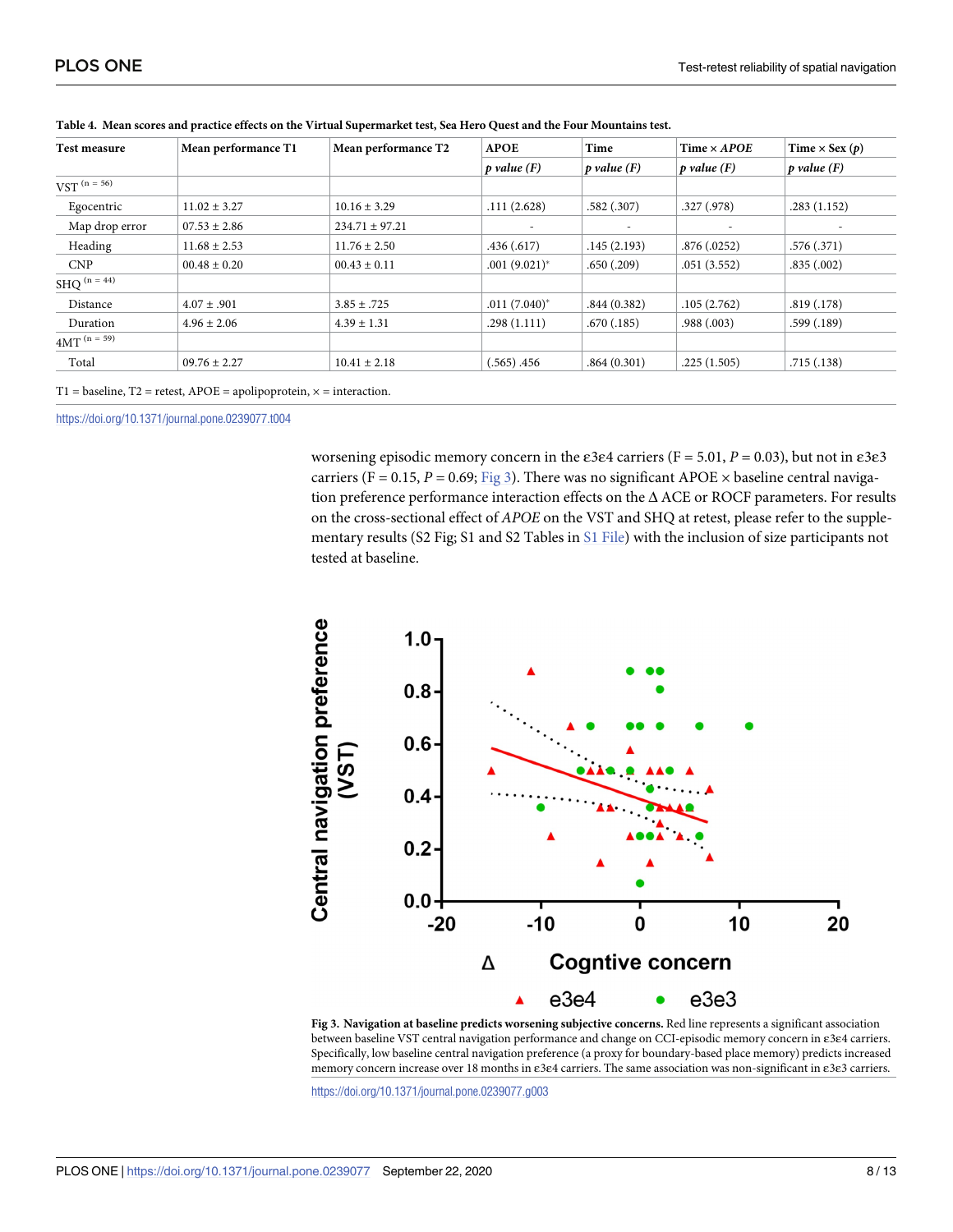| Test measure     | Mean performance T1 | Mean performance T2 | <b>APOE</b>                | Time             | Time $\times$ APOE | Time $\times$ Sex (p) |
|------------------|---------------------|---------------------|----------------------------|------------------|--------------------|-----------------------|
|                  |                     |                     | $ p$ value $(F)$           | $ p$ value $(F)$ | $ p$ value $(F)$   | $ p$ value $(F)$      |
| $VST^{(n = 56)}$ |                     |                     |                            |                  |                    |                       |
| Egocentric       | $11.02 \pm 3.27$    | $10.16 \pm 3.29$    | .111(2.628)                | .582(.307)       | .327(.978)         | .283(1.152)           |
| Map drop error   | $07.53 \pm 2.86$    | $234.71 \pm 97.21$  |                            |                  |                    |                       |
| Heading          | $11.68 \pm 2.53$    | $11.76 \pm 2.50$    | .436(.617)                 | .145(2.193)      | .876(.0252)        | .576(.371)            |
| <b>CNP</b>       | $00.48 \pm 0.20$    | $00.43 \pm 0.11$    | $.001(9.021)^*$            | .650(.209)       | .051(3.552)        | .835(.002)            |
| SHQ $(n = 44)$   |                     |                     |                            |                  |                    |                       |
| Distance         | $4.07 \pm .901$     | $3.85 \pm .725$     | $.011(7.040)$ <sup>*</sup> | .844(0.382)      | .105(2.762)        | .819(.178)            |
| Duration         | $4.96 \pm 2.06$     | $4.39 \pm 1.31$     | .298(1.111)                | .670(.185)       | .988(.003)         | .599(.189)            |
| $4MT^{(n = 59)}$ |                     |                     |                            |                  |                    |                       |
| Total            | $09.76 \pm 2.27$    | $10.41 \pm 2.18$    | $(.565)$ .456              | .864(0.301)      | .225(1.505)        | .715(.138)            |

<span id="page-7-0"></span>

| Table 4. Mean scores and practice effects on the Virtual Supermarket test, Sea Hero Quest and the Four Mountains test. |  |
|------------------------------------------------------------------------------------------------------------------------|--|
|                                                                                                                        |  |

T1 = baseline, T2 = retest, APOE = apolipoprotein,  $\times$  = interaction.

<https://doi.org/10.1371/journal.pone.0239077.t004>

worsening episodic memory concern in the  $\varepsilon$ 3 $\varepsilon$ 4 carriers (F = 5.01, P = 0.03), but not in  $\varepsilon$ 3 $\varepsilon$ 3 carriers (F = 0.15,  $P = 0.69$ ; Fig 3). There was no significant APOE  $\times$  baseline central navigation preference performance interaction effects on the Δ ACE or ROCF parameters. For results on the cross-sectional effect of *APOE* on the VST and SHQ at retest, please refer to the supplementary results (S2 Fig; S1 and S2 Tables in S1 [File](#page-9-0)) with the inclusion of size participants not tested at baseline.



**Fig 3. Navigation at baseline predicts worsening subjective concerns.** Red line represents a significant association between baseline VST central navigation performance and change on CCI-episodic memory concern in ε3ε4 carriers. Specifically, low baseline central navigation preference (a proxy for boundary-based place memory) predicts increased memory concern increase over 18 months in ε3ε4 carriers. The same association was non-significant in ε3ε3 carriers.

<https://doi.org/10.1371/journal.pone.0239077.g003>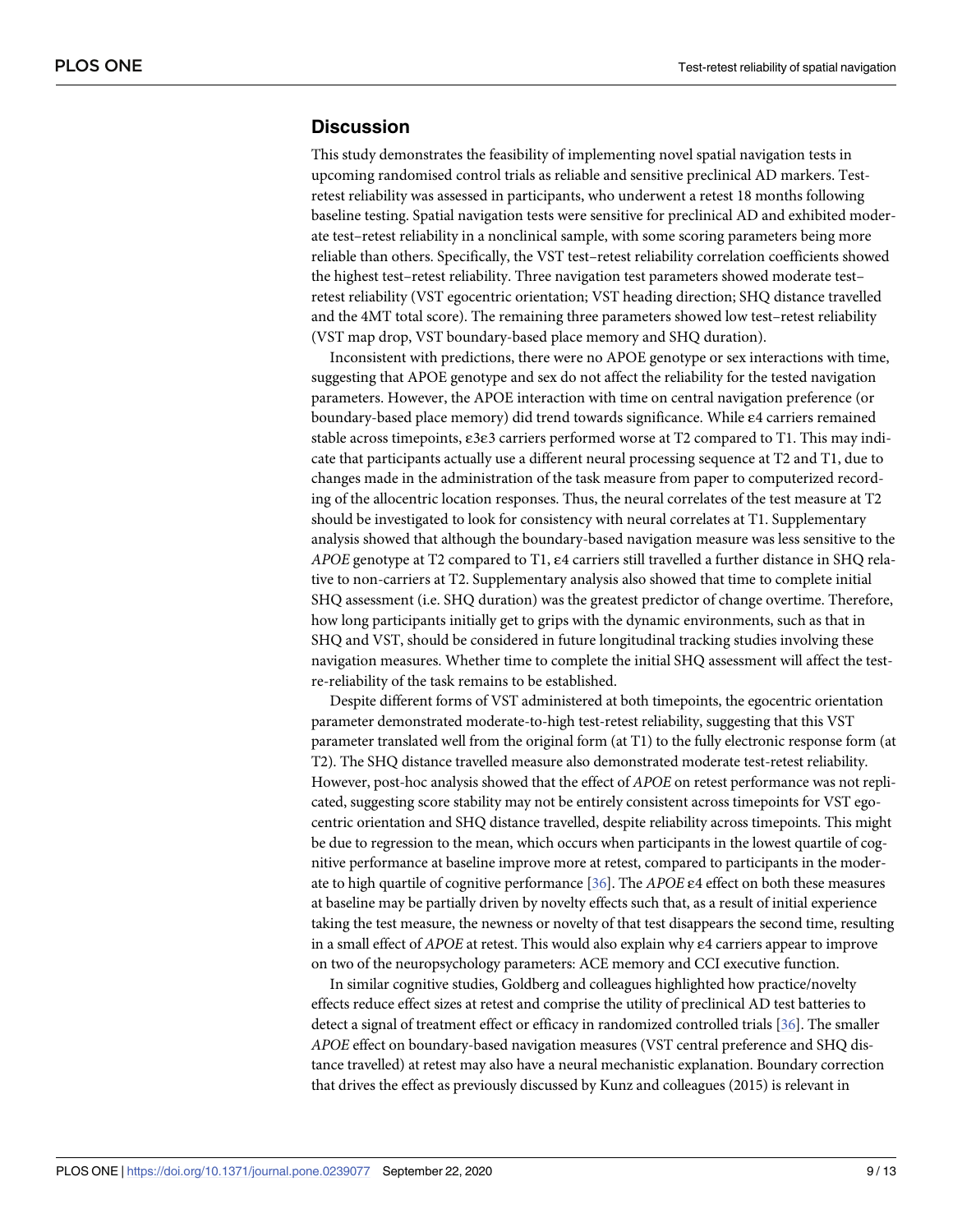### <span id="page-8-0"></span>**Discussion**

This study demonstrates the feasibility of implementing novel spatial navigation tests in upcoming randomised control trials as reliable and sensitive preclinical AD markers. Testretest reliability was assessed in participants, who underwent a retest 18 months following baseline testing. Spatial navigation tests were sensitive for preclinical AD and exhibited moderate test–retest reliability in a nonclinical sample, with some scoring parameters being more reliable than others. Specifically, the VST test–retest reliability correlation coefficients showed the highest test–retest reliability. Three navigation test parameters showed moderate test– retest reliability (VST egocentric orientation; VST heading direction; SHQ distance travelled and the 4MT total score). The remaining three parameters showed low test–retest reliability (VST map drop, VST boundary-based place memory and SHQ duration).

Inconsistent with predictions, there were no APOE genotype or sex interactions with time, suggesting that APOE genotype and sex do not affect the reliability for the tested navigation parameters. However, the APOE interaction with time on central navigation preference (or boundary-based place memory) did trend towards significance. While ε4 carriers remained stable across timepoints, ε3ε3 carriers performed worse at T2 compared to T1. This may indicate that participants actually use a different neural processing sequence at T2 and T1, due to changes made in the administration of the task measure from paper to computerized recording of the allocentric location responses. Thus, the neural correlates of the test measure at T2 should be investigated to look for consistency with neural correlates at T1. Supplementary analysis showed that although the boundary-based navigation measure was less sensitive to the *APOE* genotype at T2 compared to T1, ε4 carriers still travelled a further distance in SHQ relative to non-carriers at T2. Supplementary analysis also showed that time to complete initial SHQ assessment (i.e. SHQ duration) was the greatest predictor of change overtime. Therefore, how long participants initially get to grips with the dynamic environments, such as that in SHQ and VST, should be considered in future longitudinal tracking studies involving these navigation measures. Whether time to complete the initial SHQ assessment will affect the testre-reliability of the task remains to be established.

Despite different forms of VST administered at both timepoints, the egocentric orientation parameter demonstrated moderate-to-high test-retest reliability, suggesting that this VST parameter translated well from the original form (at T1) to the fully electronic response form (at T2). The SHQ distance travelled measure also demonstrated moderate test-retest reliability. However, post-hoc analysis showed that the effect of *APOE* on retest performance was not replicated, suggesting score stability may not be entirely consistent across timepoints for VST egocentric orientation and SHQ distance travelled, despite reliability across timepoints. This might be due to regression to the mean, which occurs when participants in the lowest quartile of cognitive performance at baseline improve more at retest, compared to participants in the moderate to high quartile of cognitive performance [\[36\]](#page-12-0). The *APOE* ε4 effect on both these measures at baseline may be partially driven by novelty effects such that, as a result of initial experience taking the test measure, the newness or novelty of that test disappears the second time, resulting in a small effect of *APOE* at retest. This would also explain why ε4 carriers appear to improve on two of the neuropsychology parameters: ACE memory and CCI executive function.

In similar cognitive studies, Goldberg and colleagues highlighted how practice/novelty effects reduce effect sizes at retest and comprise the utility of preclinical AD test batteries to detect a signal of treatment effect or efficacy in randomized controlled trials [[36](#page-12-0)]. The smaller *APOE* effect on boundary-based navigation measures (VST central preference and SHQ distance travelled) at retest may also have a neural mechanistic explanation. Boundary correction that drives the effect as previously discussed by Kunz and colleagues (2015) is relevant in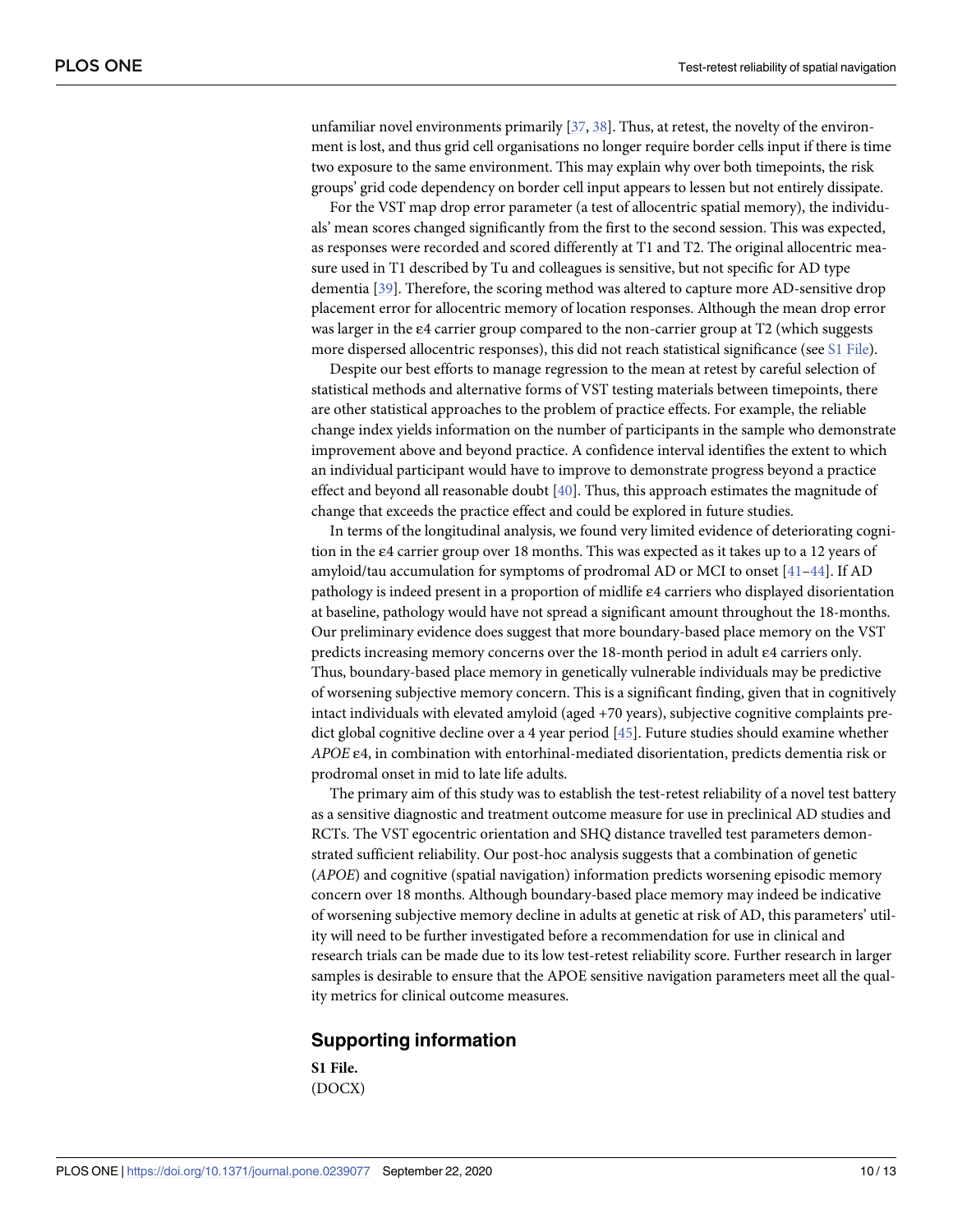<span id="page-9-0"></span>unfamiliar novel environments primarily [\[37](#page-12-0), [38](#page-12-0)]. Thus, at retest, the novelty of the environment is lost, and thus grid cell organisations no longer require border cells input if there is time two exposure to the same environment. This may explain why over both timepoints, the risk groups' grid code dependency on border cell input appears to lessen but not entirely dissipate.

For the VST map drop error parameter (a test of allocentric spatial memory), the individuals' mean scores changed significantly from the first to the second session. This was expected, as responses were recorded and scored differently at T1 and T2. The original allocentric measure used in T1 described by Tu and colleagues is sensitive, but not specific for AD type dementia [\[39\]](#page-12-0). Therefore, the scoring method was altered to capture more AD-sensitive drop placement error for allocentric memory of location responses. Although the mean drop error was larger in the ε4 carrier group compared to the non-carrier group at T2 (which suggests more dispersed allocentric responses), this did not reach statistical significance (see S1 File).

Despite our best efforts to manage regression to the mean at retest by careful selection of statistical methods and alternative forms of VST testing materials between timepoints, there are other statistical approaches to the problem of practice effects. For example, the reliable change index yields information on the number of participants in the sample who demonstrate improvement above and beyond practice. A confidence interval identifies the extent to which an individual participant would have to improve to demonstrate progress beyond a practice effect and beyond all reasonable doubt [\[40\]](#page-12-0). Thus, this approach estimates the magnitude of change that exceeds the practice effect and could be explored in future studies.

In terms of the longitudinal analysis, we found very limited evidence of deteriorating cognition in the ε4 carrier group over 18 months. This was expected as it takes up to a 12 years of amyloid/tau accumulation for symptoms of prodromal AD or MCI to onset [\[41–44](#page-12-0)]. If AD pathology is indeed present in a proportion of midlife ε4 carriers who displayed disorientation at baseline, pathology would have not spread a significant amount throughout the 18-months. Our preliminary evidence does suggest that more boundary-based place memory on the VST predicts increasing memory concerns over the 18-month period in adult ε4 carriers only. Thus, boundary-based place memory in genetically vulnerable individuals may be predictive of worsening subjective memory concern. This is a significant finding, given that in cognitively intact individuals with elevated amyloid (aged +70 years), subjective cognitive complaints predict global cognitive decline over a 4 year period [\[45\]](#page-12-0). Future studies should examine whether *APOE* ε4, in combination with entorhinal-mediated disorientation, predicts dementia risk or prodromal onset in mid to late life adults.

The primary aim of this study was to establish the test-retest reliability of a novel test battery as a sensitive diagnostic and treatment outcome measure for use in preclinical AD studies and RCTs. The VST egocentric orientation and SHQ distance travelled test parameters demonstrated sufficient reliability. Our post-hoc analysis suggests that a combination of genetic (*APOE*) and cognitive (spatial navigation) information predicts worsening episodic memory concern over 18 months. Although boundary-based place memory may indeed be indicative of worsening subjective memory decline in adults at genetic at risk of AD, this parameters' utility will need to be further investigated before a recommendation for use in clinical and research trials can be made due to its low test-retest reliability score. Further research in larger samples is desirable to ensure that the APOE sensitive navigation parameters meet all the quality metrics for clinical outcome measures.

#### **Supporting information**

**S1 [File.](http://www.plosone.org/article/fetchSingleRepresentation.action?uri=info:doi/10.1371/journal.pone.0239077.s001)** (DOCX)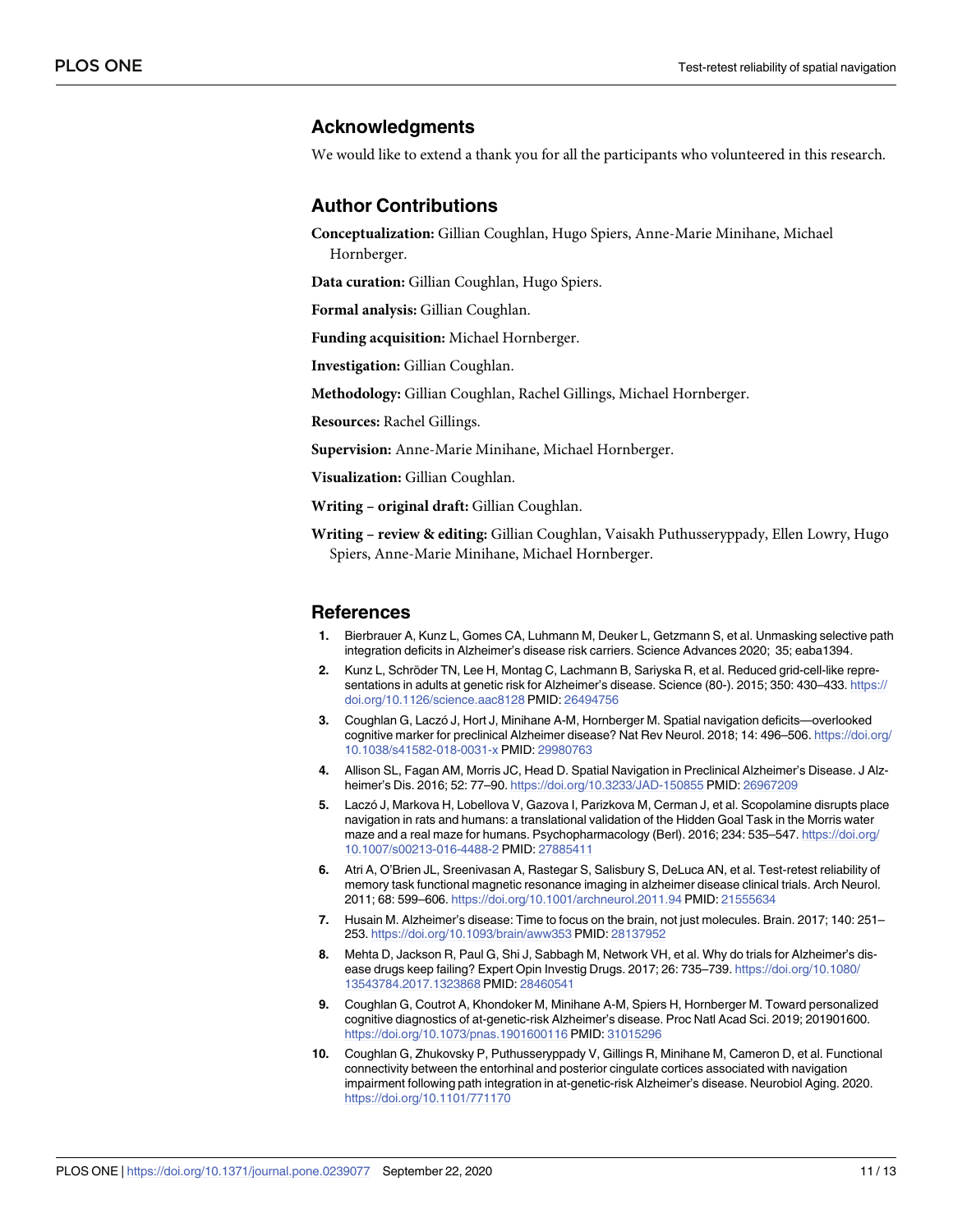## <span id="page-10-0"></span>**Acknowledgments**

We would like to extend a thank you for all the participants who volunteered in this research.

### **Author Contributions**

**Conceptualization:** Gillian Coughlan, Hugo Spiers, Anne-Marie Minihane, Michael Hornberger.

**Data curation:** Gillian Coughlan, Hugo Spiers.

**Formal analysis:** Gillian Coughlan.

**Funding acquisition:** Michael Hornberger.

**Investigation:** Gillian Coughlan.

**Methodology:** Gillian Coughlan, Rachel Gillings, Michael Hornberger.

**Resources:** Rachel Gillings.

**Supervision:** Anne-Marie Minihane, Michael Hornberger.

**Visualization:** Gillian Coughlan.

**Writing – original draft:** Gillian Coughlan.

**Writing – review & editing:** Gillian Coughlan, Vaisakh Puthusseryppady, Ellen Lowry, Hugo Spiers, Anne-Marie Minihane, Michael Hornberger.

#### **References**

- **[1](#page-0-0).** Bierbrauer A, Kunz L, Gomes CA, Luhmann M, Deuker L, Getzmann S, et al. Unmasking selective path integration deficits in Alzheimer's disease risk carriers. Science Advances 2020; 35; eaba1394.
- **[2](#page-0-0).** Kunz L, Schröder TN, Lee H, Montag C, Lachmann B, Sariyska R, et al. Reduced grid-cell-like representations in adults at genetic risk for Alzheimer's disease. Science (80-). 2015; 350: 430–433. [https://](https://doi.org/10.1126/science.aac8128) [doi.org/10.1126/science.aac8128](https://doi.org/10.1126/science.aac8128) PMID: [26494756](http://www.ncbi.nlm.nih.gov/pubmed/26494756)
- **3.** Coughlan G, Laczo´ J, Hort J, Minihane A-M, Hornberger M. Spatial navigation deficits—overlooked cognitive marker for preclinical Alzheimer disease? Nat Rev Neurol. 2018; 14: 496–506. [https://doi.org/](https://doi.org/10.1038/s41582-018-0031-x) [10.1038/s41582-018-0031-x](https://doi.org/10.1038/s41582-018-0031-x) PMID: [29980763](http://www.ncbi.nlm.nih.gov/pubmed/29980763)
- **[4](#page-0-0).** Allison SL, Fagan AM, Morris JC, Head D. Spatial Navigation in Preclinical Alzheimer's Disease. J Alzheimer's Dis. 2016; 52: 77–90. <https://doi.org/10.3233/JAD-150855> PMID: [26967209](http://www.ncbi.nlm.nih.gov/pubmed/26967209)
- **[5](#page-0-0).** Laczo´ J, Markova H, Lobellova V, Gazova I, Parizkova M, Cerman J, et al. Scopolamine disrupts place navigation in rats and humans: a translational validation of the Hidden Goal Task in the Morris water maze and a real maze for humans. Psychopharmacology (Berl). 2016; 234: 535–547. [https://doi.org/](https://doi.org/10.1007/s00213-016-4488-2) [10.1007/s00213-016-4488-2](https://doi.org/10.1007/s00213-016-4488-2) PMID: [27885411](http://www.ncbi.nlm.nih.gov/pubmed/27885411)
- **6.** Atri A, O'Brien JL, Sreenivasan A, Rastegar S, Salisbury S, DeLuca AN, et al. Test-retest reliability of memory task functional magnetic resonance imaging in alzheimer disease clinical trials. Arch Neurol. 2011; 68: 599–606. <https://doi.org/10.1001/archneurol.2011.94> PMID: [21555634](http://www.ncbi.nlm.nih.gov/pubmed/21555634)
- **[7](#page-1-0).** Husain M. Alzheimer's disease: Time to focus on the brain, not just molecules. Brain. 2017; 140: 251– 253. <https://doi.org/10.1093/brain/aww353> PMID: [28137952](http://www.ncbi.nlm.nih.gov/pubmed/28137952)
- **[8](#page-0-0).** Mehta D, Jackson R, Paul G, Shi J, Sabbagh M, Network VH, et al. Why do trials for Alzheimer's disease drugs keep failing? Expert Opin Investig Drugs. 2017; 26: 735–739. [https://doi.org/10.1080/](https://doi.org/10.1080/13543784.2017.1323868) [13543784.2017.1323868](https://doi.org/10.1080/13543784.2017.1323868) PMID: [28460541](http://www.ncbi.nlm.nih.gov/pubmed/28460541)
- **[9](#page-0-0).** Coughlan G, Coutrot A, Khondoker M, Minihane A-M, Spiers H, Hornberger M. Toward personalized cognitive diagnostics of at-genetic-risk Alzheimer's disease. Proc Natl Acad Sci. 2019; 201901600. <https://doi.org/10.1073/pnas.1901600116> PMID: [31015296](http://www.ncbi.nlm.nih.gov/pubmed/31015296)
- **[10](#page-1-0).** Coughlan G, Zhukovsky P, Puthusseryppady V, Gillings R, Minihane M, Cameron D, et al. Functional connectivity between the entorhinal and posterior cingulate cortices associated with navigation impairment following path integration in at-genetic-risk Alzheimer's disease. Neurobiol Aging. 2020. <https://doi.org/10.1101/771170>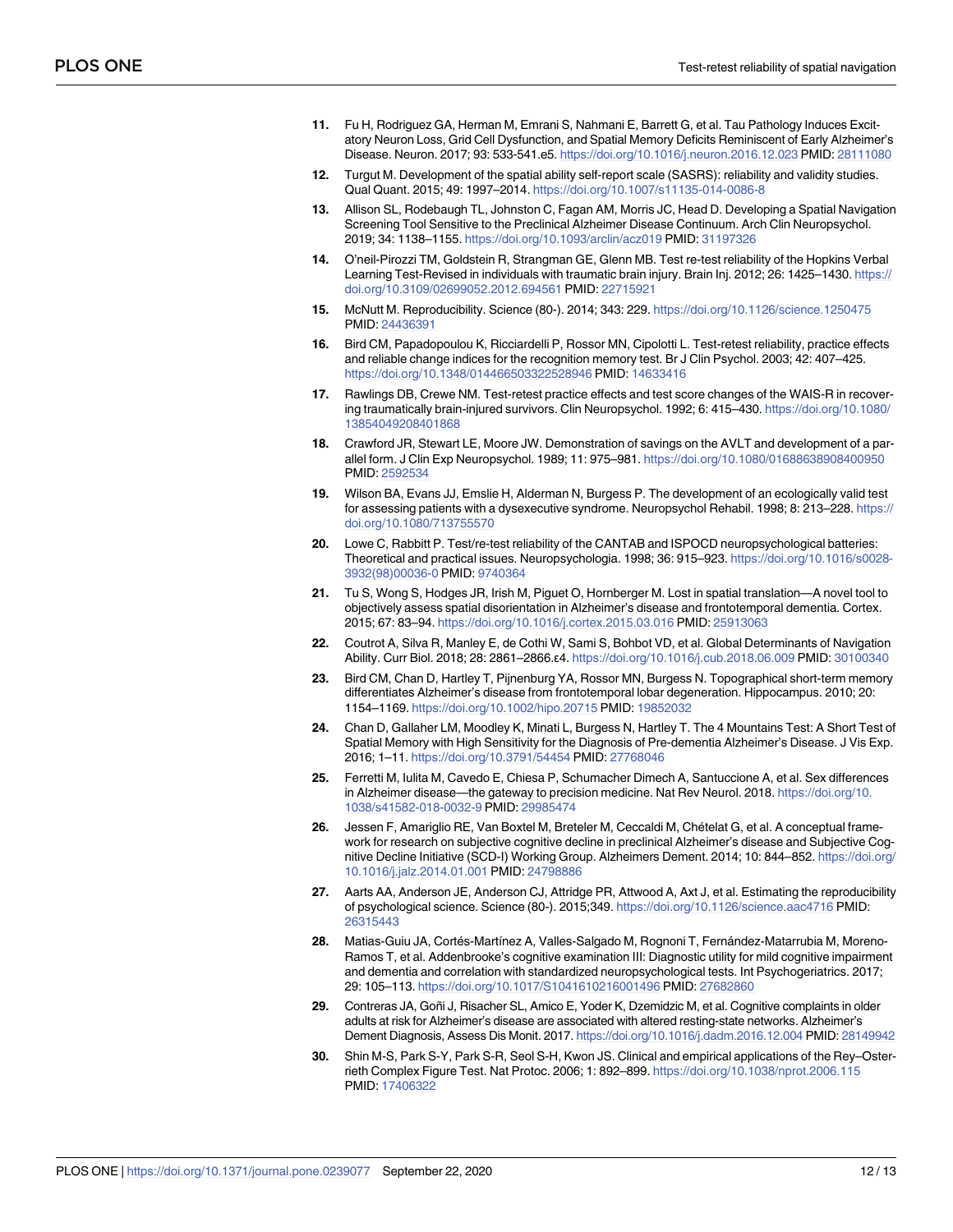- <span id="page-11-0"></span>**[11](#page-0-0).** Fu H, Rodriguez GA, Herman M, Emrani S, Nahmani E, Barrett G, et al. Tau Pathology Induces Excitatory Neuron Loss, Grid Cell Dysfunction, and Spatial Memory Deficits Reminiscent of Early Alzheimer's Disease. Neuron. 2017; 93: 533-541.e5. <https://doi.org/10.1016/j.neuron.2016.12.023> PMID: [28111080](http://www.ncbi.nlm.nih.gov/pubmed/28111080)
- **[12](#page-0-0).** Turgut M. Development of the spatial ability self-report scale (SASRS): reliability and validity studies. Qual Quant. 2015; 49: 1997–2014. <https://doi.org/10.1007/s11135-014-0086-8>
- **[13](#page-0-0).** Allison SL, Rodebaugh TL, Johnston C, Fagan AM, Morris JC, Head D. Developing a Spatial Navigation Screening Tool Sensitive to the Preclinical Alzheimer Disease Continuum. Arch Clin Neuropsychol. 2019; 34: 1138–1155. <https://doi.org/10.1093/arclin/acz019> PMID: [31197326](http://www.ncbi.nlm.nih.gov/pubmed/31197326)
- **[14](#page-1-0).** O'neil-Pirozzi TM, Goldstein R, Strangman GE, Glenn MB. Test re-test reliability of the Hopkins Verbal Learning Test-Revised in individuals with traumatic brain injury. Brain Inj. 2012; 26: 1425-1430. [https://](https://doi.org/10.3109/02699052.2012.694561) [doi.org/10.3109/02699052.2012.694561](https://doi.org/10.3109/02699052.2012.694561) PMID: [22715921](http://www.ncbi.nlm.nih.gov/pubmed/22715921)
- **15.** McNutt M. Reproducibility. Science (80-). 2014; 343: 229. <https://doi.org/10.1126/science.1250475> PMID: [24436391](http://www.ncbi.nlm.nih.gov/pubmed/24436391)
- **[16](#page-1-0).** Bird CM, Papadopoulou K, Ricciardelli P, Rossor MN, Cipolotti L. Test-retest reliability, practice effects and reliable change indices for the recognition memory test. Br J Clin Psychol. 2003; 42: 407–425. <https://doi.org/10.1348/014466503322528946> PMID: [14633416](http://www.ncbi.nlm.nih.gov/pubmed/14633416)
- **[17](#page-1-0).** Rawlings DB, Crewe NM. Test-retest practice effects and test score changes of the WAIS-R in recovering traumatically brain-injured survivors. Clin Neuropsychol. 1992; 6: 415–430. [https://doi.org/10.1080/](https://doi.org/10.1080/13854049208401868) [13854049208401868](https://doi.org/10.1080/13854049208401868)
- **[18](#page-1-0).** Crawford JR, Stewart LE, Moore JW. Demonstration of savings on the AVLT and development of a parallel form. J Clin Exp Neuropsychol. 1989; 11: 975–981. <https://doi.org/10.1080/01688638908400950> PMID: [2592534](http://www.ncbi.nlm.nih.gov/pubmed/2592534)
- **[19](#page-1-0).** Wilson BA, Evans JJ, Emslie H, Alderman N, Burgess P. The development of an ecologically valid test for assessing patients with a dysexecutive syndrome. Neuropsychol Rehabil. 1998; 8: 213–228. [https://](https://doi.org/10.1080/713755570) [doi.org/10.1080/713755570](https://doi.org/10.1080/713755570)
- **[20](#page-1-0).** Lowe C, Rabbitt P. Test/re-test reliability of the CANTAB and ISPOCD neuropsychological batteries: Theoretical and practical issues. Neuropsychologia. 1998; 36: 915–923. [https://doi.org/10.1016/s0028-](https://doi.org/10.1016/s0028-3932(98)00036-0) [3932\(98\)00036-0](https://doi.org/10.1016/s0028-3932(98)00036-0) PMID: [9740364](http://www.ncbi.nlm.nih.gov/pubmed/9740364)
- **[21](#page-1-0).** Tu S, Wong S, Hodges JR, Irish M, Piguet O, Hornberger M. Lost in spatial translation—A novel tool to objectively assess spatial disorientation in Alzheimer's disease and frontotemporal dementia. Cortex. 2015; 67: 83–94. <https://doi.org/10.1016/j.cortex.2015.03.016> PMID: [25913063](http://www.ncbi.nlm.nih.gov/pubmed/25913063)
- **[22](#page-1-0).** Coutrot A, Silva R, Manley E, de Cothi W, Sami S, Bohbot VD, et al. Global Determinants of Navigation Ability. Curr Biol. 2018; 28: 2861–2866.ε4. <https://doi.org/10.1016/j.cub.2018.06.009> PMID: [30100340](http://www.ncbi.nlm.nih.gov/pubmed/30100340)
- **[23](#page-1-0).** Bird CM, Chan D, Hartley T, Pijnenburg YA, Rossor MN, Burgess N. Topographical short-term memory differentiates Alzheimer's disease from frontotemporal lobar degeneration. Hippocampus. 2010; 20: 1154–1169. <https://doi.org/10.1002/hipo.20715> PMID: [19852032](http://www.ncbi.nlm.nih.gov/pubmed/19852032)
- **[24](#page-1-0).** Chan D, Gallaher LM, Moodley K, Minati L, Burgess N, Hartley T. The 4 Mountains Test: A Short Test of Spatial Memory with High Sensitivity for the Diagnosis of Pre-dementia Alzheimer's Disease. J Vis Exp. 2016; 1–11. <https://doi.org/10.3791/54454> PMID: [27768046](http://www.ncbi.nlm.nih.gov/pubmed/27768046)
- **[25](#page-1-0).** Ferretti M, Iulita M, Cavedo E, Chiesa P, Schumacher Dimech A, Santuccione A, et al. Sex differences in Alzheimer disease—the gateway to precision medicine. Nat Rev Neurol. 2018. [https://doi.org/10.](https://doi.org/10.1038/s41582-018-0032-9) [1038/s41582-018-0032-9](https://doi.org/10.1038/s41582-018-0032-9) PMID: [29985474](http://www.ncbi.nlm.nih.gov/pubmed/29985474)
- **[26](#page-1-0).** Jessen F, Amariglio RE, Van Boxtel M, Breteler M, Ceccaldi M, Chételat G, et al. A conceptual framework for research on subjective cognitive decline in preclinical Alzheimer's disease and Subjective Cognitive Decline Initiative (SCD-I) Working Group. Alzheimers Dement. 2014; 10: 844–852. [https://doi.org/](https://doi.org/10.1016/j.jalz.2014.01.001) [10.1016/j.jalz.2014.01.001](https://doi.org/10.1016/j.jalz.2014.01.001) PMID: [24798886](http://www.ncbi.nlm.nih.gov/pubmed/24798886)
- **[27](#page-2-0).** Aarts AA, Anderson JE, Anderson CJ, Attridge PR, Attwood A, Axt J, et al. Estimating the reproducibility of psychological science. Science (80-). 2015;349. <https://doi.org/10.1126/science.aac4716> PMID: [26315443](http://www.ncbi.nlm.nih.gov/pubmed/26315443)
- [28](#page-3-0). Matias-Guiu JA, Cortés-Martínez A, Valles-Salgado M, Rognoni T, Fernández-Matarrubia M, Moreno-Ramos T, et al. Addenbrooke's cognitive examination III: Diagnostic utility for mild cognitive impairment and dementia and correlation with standardized neuropsychological tests. Int Psychogeriatrics. 2017; 29: 105–113. <https://doi.org/10.1017/S1041610216001496> PMID: [27682860](http://www.ncbi.nlm.nih.gov/pubmed/27682860)
- **[29](#page-3-0).** Contreras JA, Goñi J, Risacher SL, Amico E, Yoder K, Dzemidzic M, et al. Cognitive complaints in older adults at risk for Alzheimer's disease are associated with altered resting-state networks. Alzheimer's Dement Diagnosis, Assess Dis Monit. 2017. <https://doi.org/10.1016/j.dadm.2016.12.004> PMID: [28149942](http://www.ncbi.nlm.nih.gov/pubmed/28149942)
- **[30](#page-3-0).** Shin M-S, Park S-Y, Park S-R, Seol S-H, Kwon JS. Clinical and empirical applications of the Rey–Osterrieth Complex Figure Test. Nat Protoc. 2006; 1: 892–899. <https://doi.org/10.1038/nprot.2006.115> PMID: [17406322](http://www.ncbi.nlm.nih.gov/pubmed/17406322)